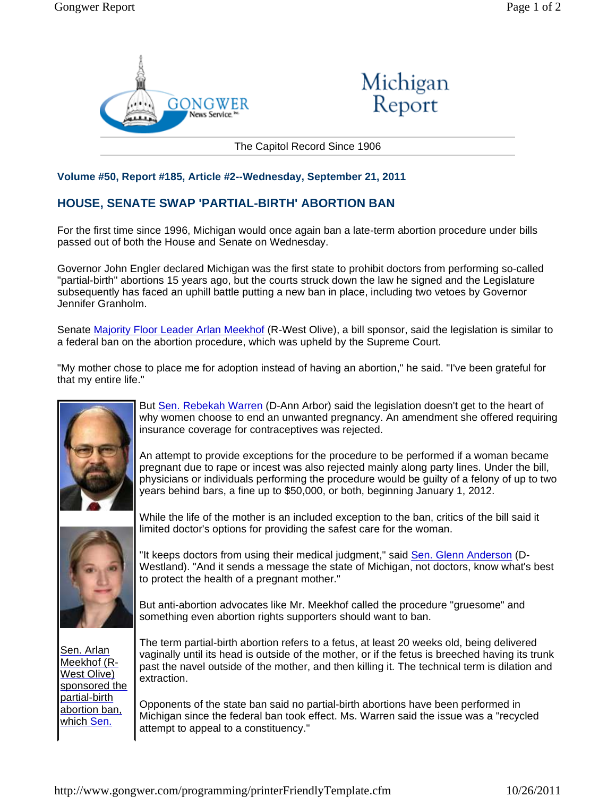



The Capitol Record Since 1906

## **Volume #50, Report #185, Article #2--Wednesday, September 21, 2011**

## **HOUSE, SENATE SWAP 'PARTIAL-BIRTH' ABORTION BAN**

For the first time since 1996, Michigan would once again ban a late-term abortion procedure under bills passed out of both the House and Senate on Wednesday.

Governor John Engler declared Michigan was the first state to prohibit doctors from performing so-called "partial-birth" abortions 15 years ago, but the courts struck down the law he signed and the Legislature subsequently has faced an uphill battle putting a new ban in place, including two vetoes by Governor Jennifer Granholm.

Senate Majority Floor Leader Arlan Meekhof (R-West Olive), a bill sponsor, said the legislation is similar to a federal ban on the abortion procedure, which was upheld by the Supreme Court.

"My mother chose to place me for adoption instead of having an abortion," he said. "I've been grateful for that my entire life."



But Sen. Rebekah Warren (D-Ann Arbor) said the legislation doesn't get to the heart of why women choose to end an unwanted pregnancy. An amendment she offered requiring insurance coverage for contraceptives was rejected.

An attempt to provide exceptions for the procedure to be performed if a woman became pregnant due to rape or incest was also rejected mainly along party lines. Under the bill, physicians or individuals performing the procedure would be guilty of a felony of up to two years behind bars, a fine up to \$50,000, or both, beginning January 1, 2012.



Sen. Arlan Meekhof (R-West Olive) sponsored the partial-birth abortion ban, which Sen.

While the life of the mother is an included exception to the ban, critics of the bill said it limited doctor's options for providing the safest care for the woman.

"It keeps doctors from using their medical judgment," said Sen. Glenn Anderson (D-Westland). "And it sends a message the state of Michigan, not doctors, know what's best to protect the health of a pregnant mother."

But anti-abortion advocates like Mr. Meekhof called the procedure "gruesome" and something even abortion rights supporters should want to ban.

The term partial-birth abortion refers to a fetus, at least 20 weeks old, being delivered vaginally until its head is outside of the mother, or if the fetus is breeched having its trunk past the navel outside of the mother, and then killing it. The technical term is dilation and extraction.

Opponents of the state ban said no partial-birth abortions have been performed in Michigan since the federal ban took effect. Ms. Warren said the issue was a "recycled attempt to appeal to a constituency."